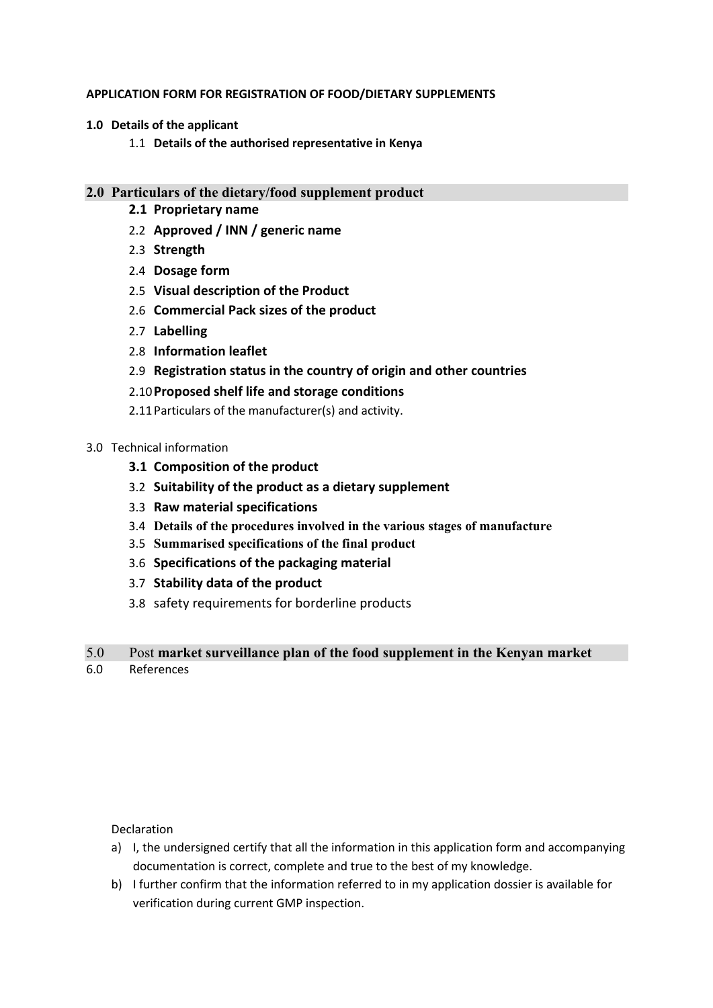### **APPLICATION FORM FOR REGISTRATION OF FOOD/DIETARY SUPPLEMENTS**

- **1.0 Details of the applicant** 
	- 1.1 **Details of the authorised representative in Kenya**

# **2.0 Particulars of the dietary/food supplement product**

- **2.1 Proprietary name**
- 2.2 **Approved / INN / generic name**
- 2.3 **Strength**
- 2.4 **Dosage form**
- 2.5 **Visual description of the Product**
- 2.6 **Commercial Pack sizes of the product**
- 2.7 **Labelling**
- 2.8 **Information leaflet**
- 2.9 **Registration status in the country of origin and other countries**

## 2.10**Proposed shelf life and storage conditions**

2.11Particulars of the manufacturer(s) and activity.

### 3.0 Technical information

- **3.1 Composition of the product**
- 3.2 **Suitability of the product as a dietary supplement**
- 3.3 **Raw material specifications**
- 3.4 **Details of the procedures involved in the various stages of manufacture**
- 3.5 **Summarised specifications of the final product**
- 3.6 **Specifications of the packaging material**
- 3.7 **Stability data of the product**
- 3.8 safety requirements for borderline products

# 5.0 Post **market surveillance plan of the food supplement in the Kenyan market**

6.0 References

Declaration

- a) I, the undersigned certify that all the information in this application form and accompanying documentation is correct, complete and true to the best of my knowledge.
- b) I further confirm that the information referred to in my application dossier is available for verification during current GMP inspection.